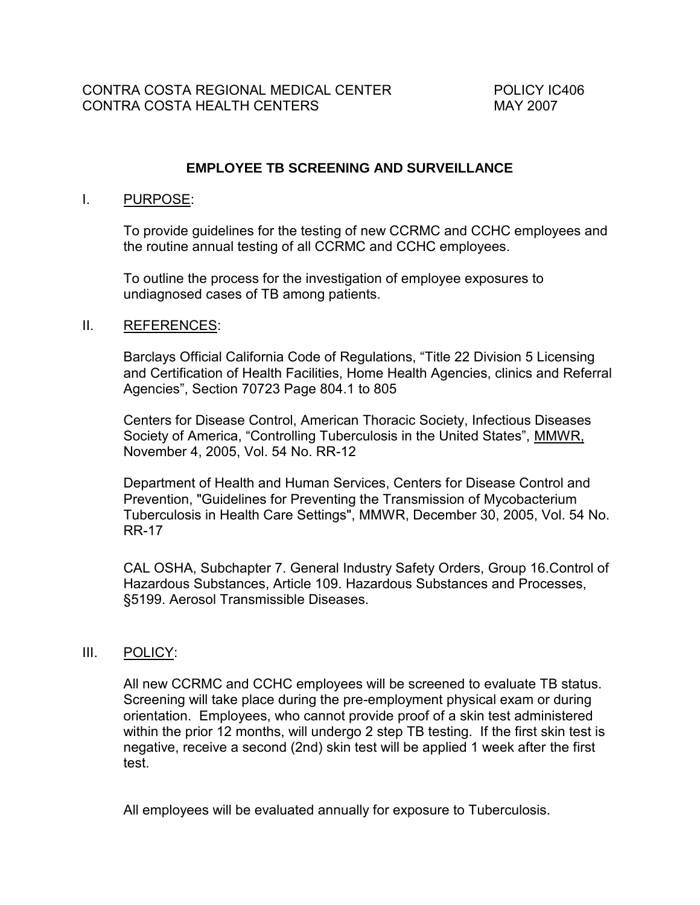### **EMPLOYEE TB SCREENING AND SURVEILLANCE**

#### I. PURPOSE:

To provide guidelines for the testing of new CCRMC and CCHC employees and the routine annual testing of all CCRMC and CCHC employees.

To outline the process for the investigation of employee exposures to undiagnosed cases of TB among patients.

#### II. REFERENCES:

Barclays Official California Code of Regulations, "Title 22 Division 5 Licensing and Certification of Health Facilities, Home Health Agencies, clinics and Referral Agencies", Section 70723 Page 804.1 to 805

Centers for Disease Control, American Thoracic Society, Infectious Diseases Society of America, "Controlling Tuberculosis in the United States", MMWR, November 4, 2005, Vol. 54 No. RR-12

Department of Health and Human Services, Centers for Disease Control and Prevention, "Guidelines for Preventing the Transmission of Mycobacterium Tuberculosis in Health Care Settings", MMWR, December 30, 2005, Vol. 54 No. RR-17

CAL OSHA, Subchapter 7. General Industry Safety Orders, Group 16.Control of Hazardous Substances, Article 109. Hazardous Substances and Processes, §5199. Aerosol Transmissible Diseases.

#### III. POLICY:

All new CCRMC and CCHC employees will be screened to evaluate TB status. Screening will take place during the pre-employment physical exam or during orientation. Employees, who cannot provide proof of a skin test administered within the prior 12 months, will undergo 2 step TB testing. If the first skin test is negative, receive a second (2nd) skin test will be applied 1 week after the first test.

All employees will be evaluated annually for exposure to Tuberculosis.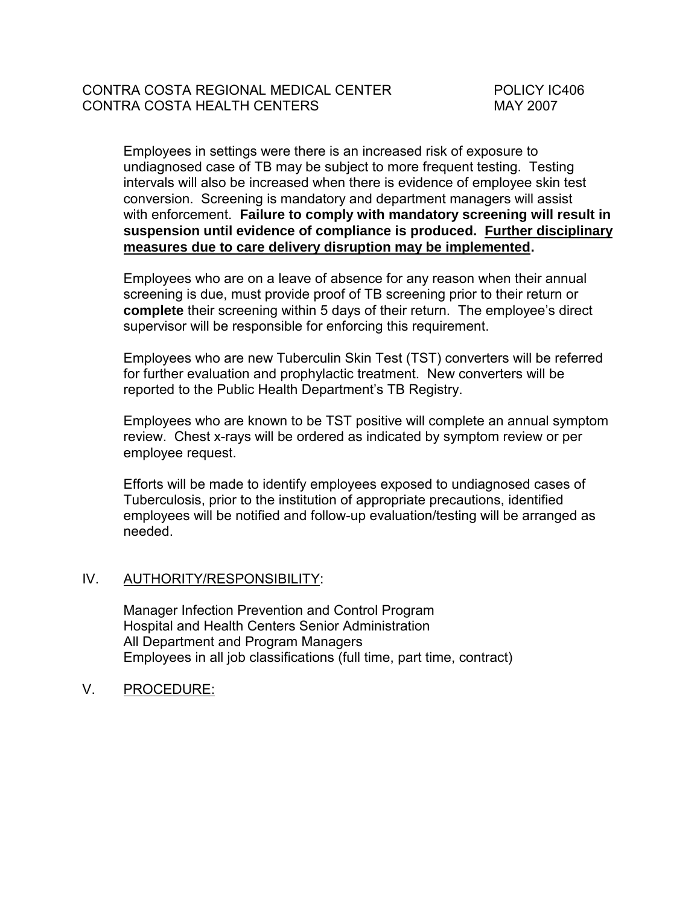Employees in settings were there is an increased risk of exposure to undiagnosed case of TB may be subject to more frequent testing. Testing intervals will also be increased when there is evidence of employee skin test conversion. Screening is mandatory and department managers will assist with enforcement. **Failure to comply with mandatory screening will result in suspension until evidence of compliance is produced. Further disciplinary measures due to care delivery disruption may be implemented.**

Employees who are on a leave of absence for any reason when their annual screening is due, must provide proof of TB screening prior to their return or **complete** their screening within 5 days of their return. The employee's direct supervisor will be responsible for enforcing this requirement.

Employees who are new Tuberculin Skin Test (TST) converters will be referred for further evaluation and prophylactic treatment. New converters will be reported to the Public Health Department's TB Registry.

Employees who are known to be TST positive will complete an annual symptom review. Chest x-rays will be ordered as indicated by symptom review or per employee request.

Efforts will be made to identify employees exposed to undiagnosed cases of Tuberculosis, prior to the institution of appropriate precautions, identified employees will be notified and follow-up evaluation/testing will be arranged as needed.

## IV. AUTHORITY/RESPONSIBILITY:

Manager Infection Prevention and Control Program Hospital and Health Centers Senior Administration All Department and Program Managers Employees in all job classifications (full time, part time, contract)

V. PROCEDURE: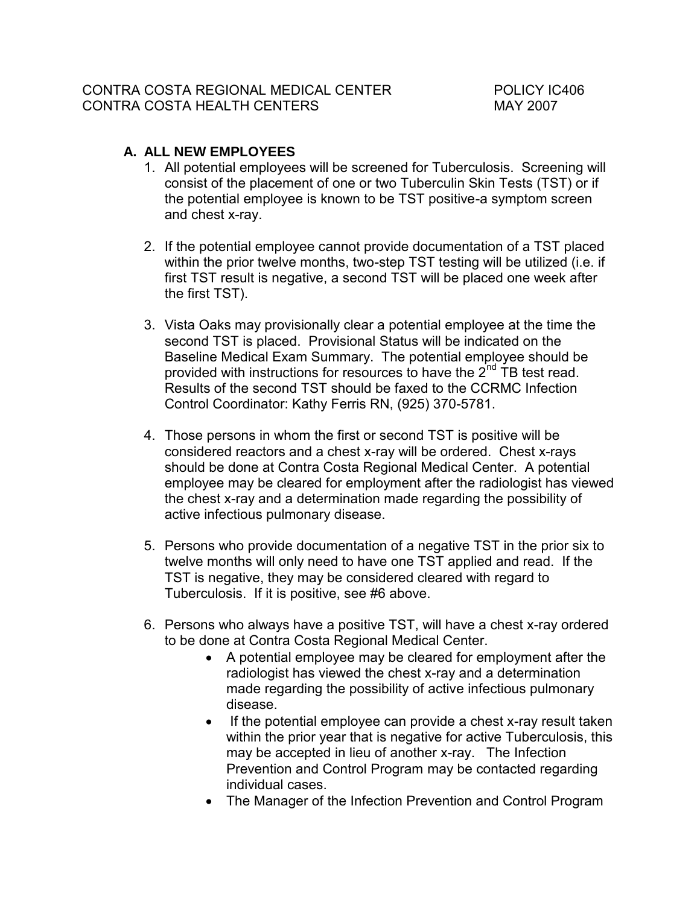# **A. ALL NEW EMPLOYEES**

- 1. All potential employees will be screened for Tuberculosis. Screening will consist of the placement of one or two Tuberculin Skin Tests (TST) or if the potential employee is known to be TST positive-a symptom screen and chest x-ray.
- 2. If the potential employee cannot provide documentation of a TST placed within the prior twelve months, two-step TST testing will be utilized (i.e. if first TST result is negative, a second TST will be placed one week after the first TST).
- 3. Vista Oaks may provisionally clear a potential employee at the time the second TST is placed. Provisional Status will be indicated on the Baseline Medical Exam Summary. The potential employee should be provided with instructions for resources to have the 2<sup>nd</sup> TB test read. Results of the second TST should be faxed to the CCRMC Infection Control Coordinator: Kathy Ferris RN, (925) 370-5781.
- 4. Those persons in whom the first or second TST is positive will be considered reactors and a chest x-ray will be ordered. Chest x-rays should be done at Contra Costa Regional Medical Center. A potential employee may be cleared for employment after the radiologist has viewed the chest x-ray and a determination made regarding the possibility of active infectious pulmonary disease.
- 5. Persons who provide documentation of a negative TST in the prior six to twelve months will only need to have one TST applied and read. If the TST is negative, they may be considered cleared with regard to Tuberculosis. If it is positive, see #6 above.
- 6. Persons who always have a positive TST, will have a chest x-ray ordered to be done at Contra Costa Regional Medical Center.
	- A potential employee may be cleared for employment after the radiologist has viewed the chest x-ray and a determination made regarding the possibility of active infectious pulmonary disease.
	- If the potential employee can provide a chest x-ray result taken within the prior year that is negative for active Tuberculosis, this may be accepted in lieu of another x-ray. The Infection Prevention and Control Program may be contacted regarding individual cases.
	- The Manager of the Infection Prevention and Control Program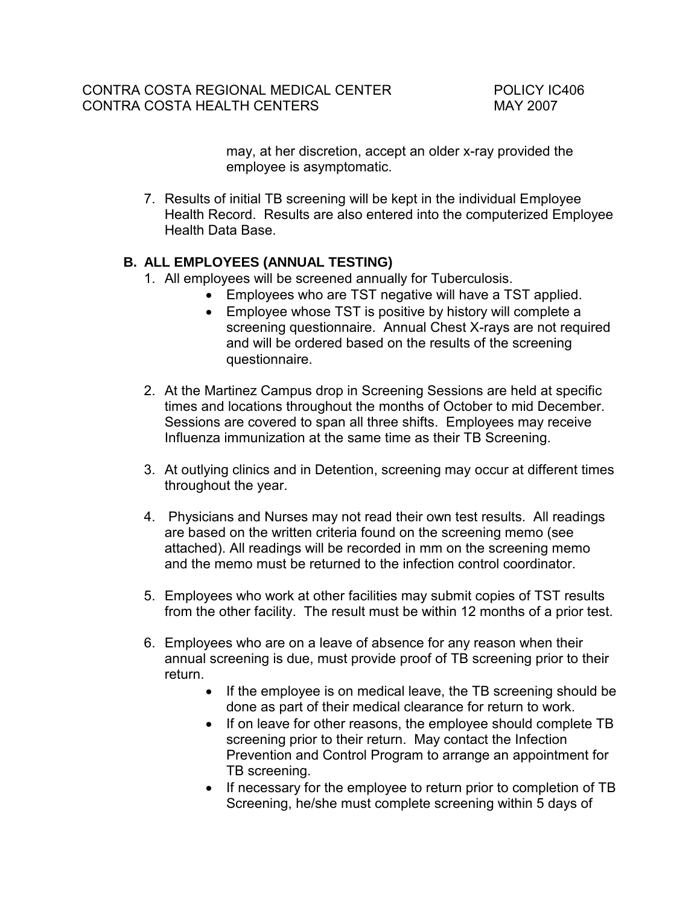may, at her discretion, accept an older x-ray provided the employee is asymptomatic.

7. Results of initial TB screening will be kept in the individual Employee Health Record. Results are also entered into the computerized Employee Health Data Base.

# **B. ALL EMPLOYEES (ANNUAL TESTING)**

- 1. All employees will be screened annually for Tuberculosis.
	- Employees who are TST negative will have a TST applied.
	- Employee whose TST is positive by history will complete a screening questionnaire. Annual Chest X-rays are not required and will be ordered based on the results of the screening questionnaire.
- 2. At the Martinez Campus drop in Screening Sessions are held at specific times and locations throughout the months of October to mid December. Sessions are covered to span all three shifts. Employees may receive Influenza immunization at the same time as their TB Screening.
- 3. At outlying clinics and in Detention, screening may occur at different times throughout the year.
- 4. Physicians and Nurses may not read their own test results. All readings are based on the written criteria found on the screening memo (see attached). All readings will be recorded in mm on the screening memo and the memo must be returned to the infection control coordinator.
- 5. Employees who work at other facilities may submit copies of TST results from the other facility. The result must be within 12 months of a prior test.
- 6. Employees who are on a leave of absence for any reason when their annual screening is due, must provide proof of TB screening prior to their return.
	- If the employee is on medical leave, the TB screening should be done as part of their medical clearance for return to work.
	- If on leave for other reasons, the employee should complete TB screening prior to their return. May contact the Infection Prevention and Control Program to arrange an appointment for TB screening.
	- If necessary for the employee to return prior to completion of TB Screening, he/she must complete screening within 5 days of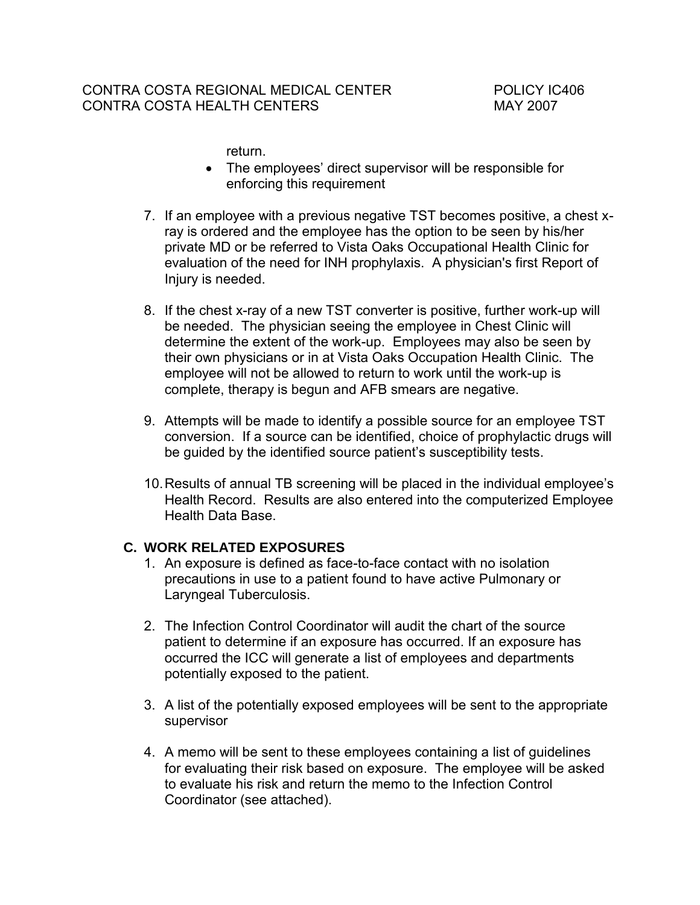return.

- The employees' direct supervisor will be responsible for enforcing this requirement
- 7. If an employee with a previous negative TST becomes positive, a chest xray is ordered and the employee has the option to be seen by his/her private MD or be referred to Vista Oaks Occupational Health Clinic for evaluation of the need for INH prophylaxis. A physician's first Report of Injury is needed.
- 8. If the chest x-ray of a new TST converter is positive, further work-up will be needed. The physician seeing the employee in Chest Clinic will determine the extent of the work-up. Employees may also be seen by their own physicians or in at Vista Oaks Occupation Health Clinic. The employee will not be allowed to return to work until the work-up is complete, therapy is begun and AFB smears are negative.
- 9. Attempts will be made to identify a possible source for an employee TST conversion. If a source can be identified, choice of prophylactic drugs will be guided by the identified source patient's susceptibility tests.
- 10. Results of annual TB screening will be placed in the individual employee's Health Record. Results are also entered into the computerized Employee Health Data Base.

## **C. WORK RELATED EXPOSURES**

- 1. An exposure is defined as face-to-face contact with no isolation precautions in use to a patient found to have active Pulmonary or Laryngeal Tuberculosis.
- 2. The Infection Control Coordinator will audit the chart of the source patient to determine if an exposure has occurred. If an exposure has occurred the ICC will generate a list of employees and departments potentially exposed to the patient.
- 3. A list of the potentially exposed employees will be sent to the appropriate supervisor
- 4. A memo will be sent to these employees containing a list of guidelines for evaluating their risk based on exposure. The employee will be asked to evaluate his risk and return the memo to the Infection Control Coordinator (see attached).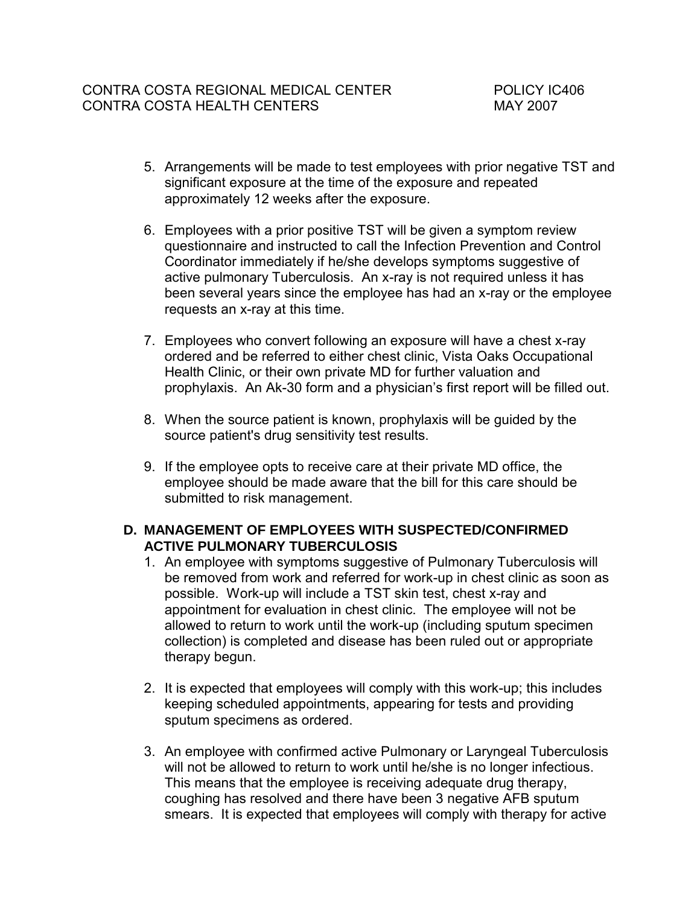- 5. Arrangements will be made to test employees with prior negative TST and significant exposure at the time of the exposure and repeated approximately 12 weeks after the exposure.
- 6. Employees with a prior positive TST will be given a symptom review questionnaire and instructed to call the Infection Prevention and Control Coordinator immediately if he/she develops symptoms suggestive of active pulmonary Tuberculosis. An x-ray is not required unless it has been several years since the employee has had an x-ray or the employee requests an x-ray at this time.
- 7. Employees who convert following an exposure will have a chest x-ray ordered and be referred to either chest clinic, Vista Oaks Occupational Health Clinic, or their own private MD for further valuation and prophylaxis. An Ak-30 form and a physician's first report will be filled out.
- 8. When the source patient is known, prophylaxis will be guided by the source patient's drug sensitivity test results.
- 9. If the employee opts to receive care at their private MD office, the employee should be made aware that the bill for this care should be submitted to risk management.

# **D. MANAGEMENT OF EMPLOYEES WITH SUSPECTED/CONFIRMED ACTIVE PULMONARY TUBERCULOSIS**

- 1. An employee with symptoms suggestive of Pulmonary Tuberculosis will be removed from work and referred for work-up in chest clinic as soon as possible. Work-up will include a TST skin test, chest x-ray and appointment for evaluation in chest clinic. The employee will not be allowed to return to work until the work-up (including sputum specimen collection) is completed and disease has been ruled out or appropriate therapy begun.
- 2. It is expected that employees will comply with this work-up; this includes keeping scheduled appointments, appearing for tests and providing sputum specimens as ordered.
- 3. An employee with confirmed active Pulmonary or Laryngeal Tuberculosis will not be allowed to return to work until he/she is no longer infectious. This means that the employee is receiving adequate drug therapy, coughing has resolved and there have been 3 negative AFB sputum smears. It is expected that employees will comply with therapy for active